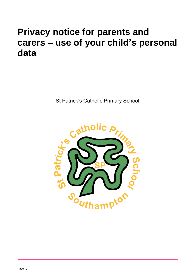# **Privacy notice for parents and carers – use of your child's personal data**

St Patrick's Catholic Primary School

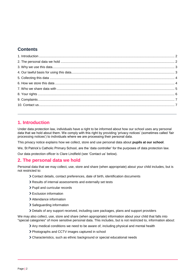# **Contents**

# <span id="page-1-0"></span>**1. Introduction**

Under data protection law, individuals have a right to be informed about how our school uses any personal data that we hold about them. We comply with this right by providing 'privacy notices' (sometimes called 'fair processing notices') to individuals where we are processing their personal data.

This privacy notice explains how we collect, store and use personal data about **pupils at our school**.

We, St Patrick's Catholic Primary School, are the 'data controller' for the purposes of data protection law.

Our data protection officer is Clare Lindfield (see 'Contact us' below).

## <span id="page-1-1"></span>**2. The personal data we hold**

Personal data that we may collect, use, store and share (when appropriate) about your child includes, but is not restricted to:

- Contact details, contact preferences, date of birth, identification documents
- Results of internal assessments and externally set tests
- > Pupil and curricular records
- Exclusion information
- Attendance information
- > Safeguarding information
- Details of any support received, including care packages, plans and support providers

We may also collect, use, store and share (when appropriate) information about your child that falls into "special categories" of more sensitive personal data. This includes, but is not restricted to, information about:

- Any medical conditions we need to be aware of, including physical and mental health
- Photographs and CCTV images captured in school
- Characteristics, such as ethnic background or special educational needs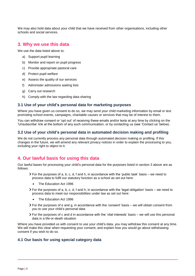We may also hold data about your child that we have received from other organisations, including other schools and social services.

## <span id="page-2-0"></span>**3. Why we use this data**

We use the data listed above to:

- a) Support pupil learning
- b) Monitor and report on pupil progress
- c) Provide appropriate pastoral care
- d) Protect pupil welfare
- e) Assess the quality of our services
- f) Administer admissions waiting lists
- g) Carry out research
- h) Comply with the law regarding data sharing

#### **3.1 Use of your child's personal data for marketing purposes**

Where you have given us consent to do so, we may send your child marketing information by email or text promoting school events, campaigns, charitable causes or services that may be of interest to them.

You can withdraw consent or 'opt out' of receiving these emails and/or texts at any time by clicking on the 'Unsubscribe' link at the bottom of any such communication, or by contacting us (see 'Contact us' below).

#### **3.2 Use of your child's personal data in automated decision making and profiling**

We do not currently process any personal data through automated decision making or profiling. If this changes in the future, we will amend any relevant privacy notices in order to explain the processing to you, including your right to object to it.

# <span id="page-2-1"></span>**4. Our lawful basis for using this data**

Our lawful bases for processing your child's personal data for the purposes listed in section 3 above are as follows:

- $\triangleright$  For the purposes of a, b, c, d, f and h, in accordance with the 'public task' basis we need to process data to fulfil our statutory function as a school as set out here:
	- The Education Act 1996
- $\geq$  For the purposes of a, b, c, d, f and h, in accordance with the 'legal obligation' basis we need to process data to meet our responsibilities under law as set out here:
	- The Education Act 1996
- For the purposes of e and g, in accordance with the 'consent' basis we will obtain consent from you to use your child's personal data
- $\triangleright$  For the purposes of c and d in accordance with the 'vital interests' basis we will use this personal data in a life-or-death situation

Where you have provided us with consent to use your child's data, you may withdraw this consent at any time. We will make this clear when requesting your consent, and explain how you would go about withdrawing consent if you wish to do so.

#### **4.1 Our basis for using special category data**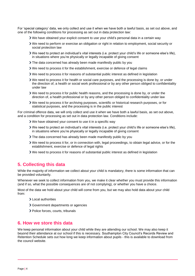For 'special category' data, we only collect and use it when we have both a lawful basis, as set out above, and one of the following conditions for processing as set out in data protection law:

- We have obtained your explicit consent to use your child's personal data in a certain way
- We need to perform or exercise an obligation or right in relation to employment, social security or social protection law
- We need to protect an individual's vital interests (i.e. protect your child's life or someone else's life), in situations where you're physically or legally incapable of giving consent
- The data concerned has already been made manifestly public by you
- $\triangleright$  We need to process it for the establishment, exercise or defence of legal claims
- We need to process it for reasons of substantial public interest as defined in legislation
- We need to process it for health or social care purposes, and the processing is done by, or under the direction of, a health or social work professional or by any other person obliged to confidentiality under law
- We need to process it for public health reasons, and the processing is done by, or under the direction of, a health professional or by any other person obliged to confidentiality under law
- We need to process it for archiving purposes, scientific or historical research purposes, or for statistical purposes, and the processing is in the public interest

For criminal offence data, we will only collect and use it when we have both a lawful basis, as set out above, and a condition for processing as set out in data protection law. Conditions include:

- We have obtained your consent to use it in a specific way
- We need to protect an individual's vital interests (i.e. protect your child's life or someone else's life), in situations where you're physically or legally incapable of giving consent
- The data concerned has already been made manifestly public by you
- We need to process it for, or in connection with, legal proceedings, to obtain legal advice, or for the establishment, exercise or defence of legal rights
- We need to process it for reasons of substantial public interest as defined in legislation

# <span id="page-3-0"></span>**5. Collecting this data**

While the majority of information we collect about your child is mandatory, there is some information that can be provided voluntarily.

Whenever we seek to collect information from you, we make it clear whether you must provide this information (and if so, what the possible consequences are of not complying), or whether you have a choice.

Most of the data we hold about your child will come from you, but we may also hold data about your child from:

- Local authorities
- Government departments or agencies
- > Police forces, courts, tribunals

### <span id="page-3-1"></span>**6. How we store this data**

We keep personal information about your child while they are attending our school. We may also keep it beyond their attendance at our school if this is necessary. Southampton City Council's Records Review and Retention Schedule sets out how long we keep information about pupils - this is available to download from the council website.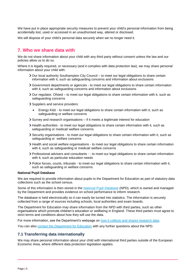We have put in place appropriate security measures to prevent your child's personal information from being accidentally lost, used or accessed in an unauthorised way, altered or disclosed.

We will dispose of your child's personal data securely when we no longer need it.

## <span id="page-4-0"></span>**7. Who we share data with**

We do not share information about your child with any third party without consent unless the law and our policies allow us to do so.

Where it is legally required, or necessary (and it complies with data protection law), we may share personal information about your child with:

- Our local authority Southampton City Council to meet our legal obligations to share certain information with it, such as safeguarding concerns and information about exclusions
- Government departments or agencies to meet our legal obligations to share certain information with it, such as safeguarding concerns and information about exclusions
- $\geq$  Our regulator, Ofsted to meet our legal obligations to share certain information with it, such as safeguarding concerns
- Suppliers and service providers:
	- Energy Kidz to meet our legal obligations to share certain information with it, such as safeguarding or welfare concerns
- Survey and research organisations if it meets a legitimate interest for education
- Health authorities to meet our legal obligations to share certain information with it, such as safeguarding or medical/ welfare concerns
- Security organisations to meet our legal obligations to share certain information with it, such as safeguarding or welfare concerns
- Health and social welfare organisations to meet our legal obligations to share certain information with it, such as safeguarding or medical/ welfare concerns
- Professional advisers and consultants - to meet our legal obligations to share certain information with it, such as particular education needs
- Police forces, courts, tribunals to meet our legal obligations to share certain information with it, such as safeguarding or welfare concerns

#### **National Pupil Database**

We are required to provide information about pupils to the Department for Education as part of statutory data collections such as the school census.

Some of this information is then stored in the [National Pupil Database](https://www.gov.uk/government/collections/national-pupil-database) (NPD), which is owned and managed by the Department and provides evidence on school performance to inform research.

The database is held electronically so it can easily be turned into statistics. The information is securely collected from a range of sources including schools, local authorities and exam boards.

The Department for Education may share information from the NPD with third parties, such as other organisations which promote children's education or wellbeing in England. These third parties must agree to strict terms and conditions about how they will use the data.

For more information, see the Department's webpage on [how it collects and shares research data.](https://www.gov.uk/data-protection-how-we-collect-and-share-research-data)

You can also [contact the Department for Education](https://www.gov.uk/contact-dfe) with any further questions about the NPD.

#### **7.1 Transferring data internationally**

We may share personal information about your child with international third parties outside of the European Economic Area, where different data protection legislation applies.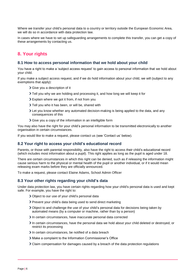Where we transfer your child's personal data to a country or territory outside the European Economic Area, we will do so in accordance with data protection law.

In cases where we have to set up safeguarding arrangements to complete this transfer, you can get a copy of these arrangements by contacting us.

# <span id="page-5-0"></span>**8. Your rights**

#### **8.1 How to access personal information that we hold about your child**

You have a right to make a 'subject access request' to gain access to personal information that we hold about your child.

If you make a subject access request, and if we do hold information about your child, we will (subject to any exemptions that apply):

- Give you a description of it
- Tell you why we are holding and processing it, and how long we will keep it for
- Explain where we got it from, if not from you
- > Tell you who it has been, or will be, shared with
- Let you know whether any automated decision-making is being applied to the data, and any consequences of this
- Give you a copy of the information in an intelligible form

You may also have the right for your child's personal information to be transmitted electronically to another organisation in certain circumstances.

If you would like to make a request, please contact us (see 'Contact us' below).

#### **8.2 Your right to access your child's educational record**

Parents, or those with parental responsibility, also have the right to access their child's educational record (which includes most information about a pupil). This right applies as long as the pupil is aged under 18.

There are certain circumstances in which this right can be denied, such as if releasing the information might cause serious harm to the physical or mental health of the pupil or another individual, or if it would mean releasing exam marks before they are officially announced.

To make a request, please contact Elaine Adams, School Admin Officer

#### **8.3 Your other rights regarding your child's data**

Under data protection law, you have certain rights regarding how your child's personal data is used and kept safe. For example, you have the right to:

- Object to our use of your child's personal data
- Prevent your child's data being used to send direct marketing
- Object to and challenge the use of your child's personal data for decisions being taken by automated means (by a computer or machine, rather than by a person)
- In certain circumstances, have inaccurate personal data corrected
- In certain circumstances, have the personal data we hold about your child deleted or destroyed, or restrict its processing
- In certain circumstances, be notified of a data breach
- Make a complaint to the Information Commissioner's Office
- Claim compensation for damages caused by a breach of the data protection regulations